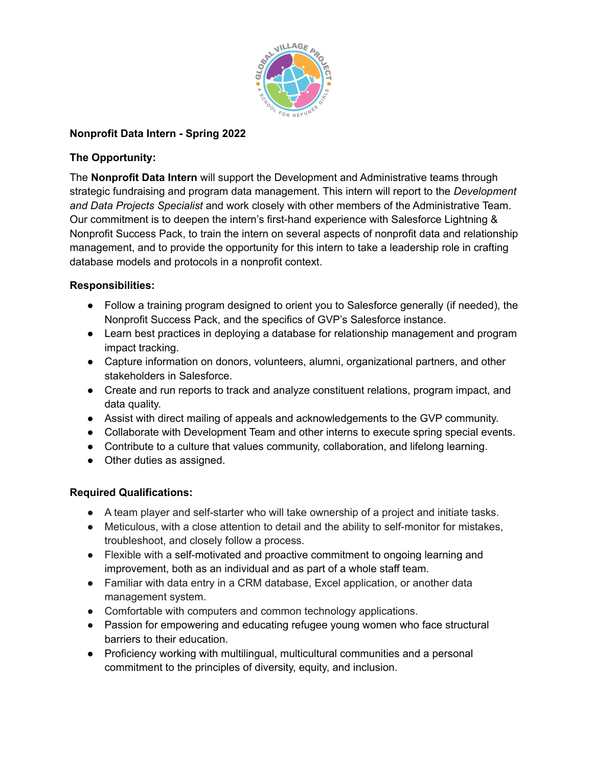

## **Nonprofit Data Intern - Spring 2022**

### **The Opportunity:**

The **Nonprofit Data Intern** will support the Development and Administrative teams through strategic fundraising and program data management. This intern will report to the *Development and Data Projects Specialist* and work closely with other members of the Administrative Team. Our commitment is to deepen the intern's first-hand experience with Salesforce Lightning & Nonprofit Success Pack, to train the intern on several aspects of nonprofit data and relationship management, and to provide the opportunity for this intern to take a leadership role in crafting database models and protocols in a nonprofit context.

# **Responsibilities:**

- Follow a training program designed to orient you to Salesforce generally (if needed), the Nonprofit Success Pack, and the specifics of GVP's Salesforce instance.
- Learn best practices in deploying a database for relationship management and program impact tracking.
- Capture information on donors, volunteers, alumni, organizational partners, and other stakeholders in Salesforce.
- Create and run reports to track and analyze constituent relations, program impact, and data quality.
- Assist with direct mailing of appeals and acknowledgements to the GVP community.
- Collaborate with Development Team and other interns to execute spring special events.
- Contribute to a culture that values community, collaboration, and lifelong learning.
- Other duties as assigned.

### **Required Qualifications:**

- A team player and self-starter who will take ownership of a project and initiate tasks.
- Meticulous, with a close attention to detail and the ability to self-monitor for mistakes, troubleshoot, and closely follow a process.
- Flexible with a self-motivated and proactive commitment to ongoing learning and improvement, both as an individual and as part of a whole staff team.
- Familiar with data entry in a CRM database, Excel application, or another data management system.
- Comfortable with computers and common technology applications.
- Passion for empowering and educating refugee young women who face structural barriers to their education.
- Proficiency working with multilingual, multicultural communities and a personal commitment to the principles of diversity, equity, and inclusion.